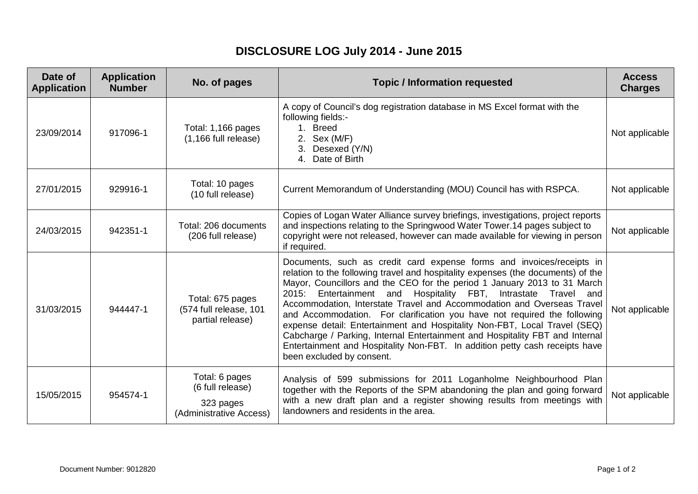## **DISCLOSURE LOG July 2014 - June 2015**

| Date of<br><b>Application</b> | <b>Application</b><br><b>Number</b> | No. of pages                                                               | <b>Topic / Information requested</b>                                                                                                                                                                                                                                                                                                                                                                                                                                                                                                                                                                                                                                                                                                      | <b>Access</b><br><b>Charges</b> |
|-------------------------------|-------------------------------------|----------------------------------------------------------------------------|-------------------------------------------------------------------------------------------------------------------------------------------------------------------------------------------------------------------------------------------------------------------------------------------------------------------------------------------------------------------------------------------------------------------------------------------------------------------------------------------------------------------------------------------------------------------------------------------------------------------------------------------------------------------------------------------------------------------------------------------|---------------------------------|
| 23/09/2014                    | 917096-1                            | Total: 1,166 pages<br>$(1, 166$ full release)                              | A copy of Council's dog registration database in MS Excel format with the<br>following fields:-<br>1. Breed<br>2. Sex (M/F)<br>3. Desexed (Y/N)<br>4. Date of Birth                                                                                                                                                                                                                                                                                                                                                                                                                                                                                                                                                                       | Not applicable                  |
| 27/01/2015                    | 929916-1                            | Total: 10 pages<br>(10 full release)                                       | Current Memorandum of Understanding (MOU) Council has with RSPCA.                                                                                                                                                                                                                                                                                                                                                                                                                                                                                                                                                                                                                                                                         | Not applicable                  |
| 24/03/2015                    | 942351-1                            | Total: 206 documents<br>(206 full release)                                 | Copies of Logan Water Alliance survey briefings, investigations, project reports<br>and inspections relating to the Springwood Water Tower.14 pages subject to<br>copyright were not released, however can made available for viewing in person<br>if required.                                                                                                                                                                                                                                                                                                                                                                                                                                                                           | Not applicable                  |
| 31/03/2015                    | 944447-1                            | Total: 675 pages<br>(574 full release, 101<br>partial release)             | Documents, such as credit card expense forms and invoices/receipts in<br>relation to the following travel and hospitality expenses (the documents) of the<br>Mayor, Councillors and the CEO for the period 1 January 2013 to 31 March<br>Entertainment and Hospitality FBT, Intrastate Travel and<br>2015:<br>Accommodation, Interstate Travel and Accommodation and Overseas Travel<br>and Accommodation. For clarification you have not required the following<br>expense detail: Entertainment and Hospitality Non-FBT, Local Travel (SEQ)<br>Cabcharge / Parking, Internal Entertainment and Hospitality FBT and Internal<br>Entertainment and Hospitality Non-FBT. In addition petty cash receipts have<br>been excluded by consent. | Not applicable                  |
| 15/05/2015                    | 954574-1                            | Total: 6 pages<br>(6 full release)<br>323 pages<br>(Administrative Access) | Analysis of 599 submissions for 2011 Loganholme Neighbourhood Plan<br>together with the Reports of the SPM abandoning the plan and going forward<br>with a new draft plan and a register showing results from meetings with<br>landowners and residents in the area.                                                                                                                                                                                                                                                                                                                                                                                                                                                                      | Not applicable                  |